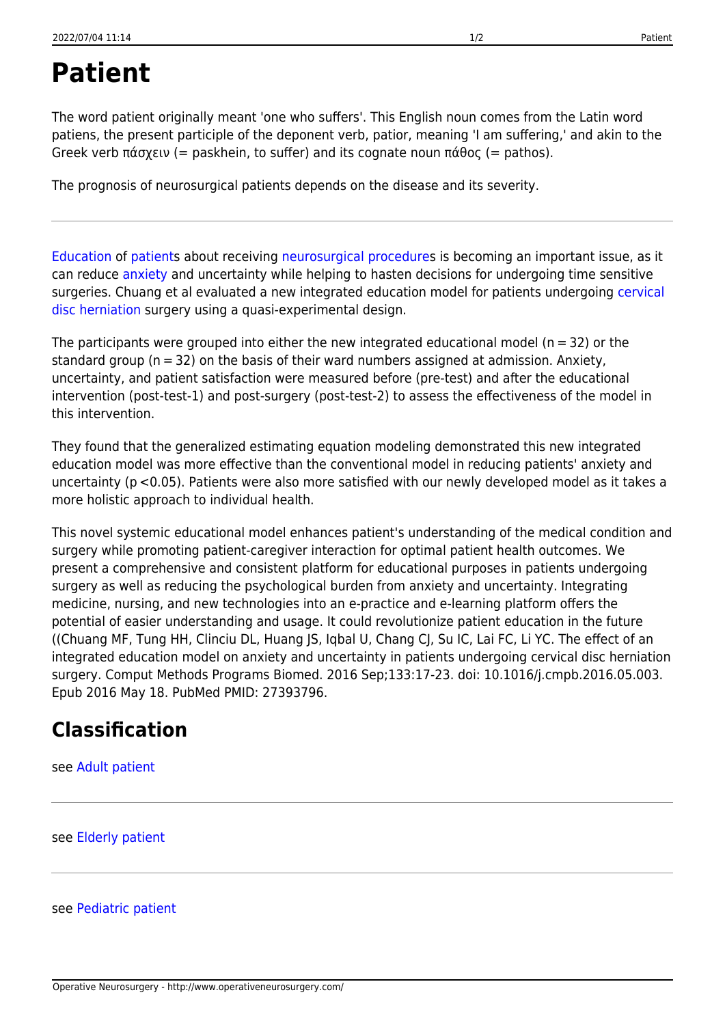## <span id="page-0-0"></span>**Patient**

The word patient originally meant 'one who suffers'. This English noun comes from the Latin word patiens, the present participle of the deponent verb, patior, meaning 'I am suffering,' and akin to the Greek verb πάσχειν (= paskhein, to suffer) and its cognate noun πάθος (= pathos).

The prognosis of neurosurgical patients depends on the disease and its severity.

[Education](http://www.operativeneurosurgery.com/doku.php?id=education) of [patients](#page-0-0) about receiving [neurosurgical procedures](http://www.operativeneurosurgery.com/doku.php?id=neurosurgical_procedure) is becoming an important issue, as it can reduce [anxiety](http://www.operativeneurosurgery.com/doku.php?id=anxiety) and uncertainty while helping to hasten decisions for undergoing time sensitive surgeries. Chuang et al evaluated a new integrated education model for patients undergoing [cervical](http://www.operativeneurosurgery.com/doku.php?id=cervical_disc_herniation) [disc herniation](http://www.operativeneurosurgery.com/doku.php?id=cervical_disc_herniation) surgery using a quasi-experimental design.

The participants were grouped into either the new integrated educational model ( $n = 32$ ) or the standard group (n = 32) on the basis of their ward numbers assigned at admission. Anxiety, uncertainty, and patient satisfaction were measured before (pre-test) and after the educational intervention (post-test-1) and post-surgery (post-test-2) to assess the effectiveness of the model in this intervention.

They found that the generalized estimating equation modeling demonstrated this new integrated education model was more effective than the conventional model in reducing patients' anxiety and uncertainty (p <0.05). Patients were also more satisfied with our newly developed model as it takes a more holistic approach to individual health.

This novel systemic educational model enhances patient's understanding of the medical condition and surgery while promoting patient-caregiver interaction for optimal patient health outcomes. We present a comprehensive and consistent platform for educational purposes in patients undergoing surgery as well as reducing the psychological burden from anxiety and uncertainty. Integrating medicine, nursing, and new technologies into an e-practice and e-learning platform offers the potential of easier understanding and usage. It could revolutionize patient education in the future ((Chuang MF, Tung HH, Clinciu DL, Huang JS, Iqbal U, Chang CJ, Su IC, Lai FC, Li YC. The effect of an integrated education model on anxiety and uncertainty in patients undergoing cervical disc herniation surgery. Comput Methods Programs Biomed. 2016 Sep;133:17-23. doi: 10.1016/j.cmpb.2016.05.003. Epub 2016 May 18. PubMed PMID: 27393796.

## **Classification**

see [Adult patient](http://www.operativeneurosurgery.com/doku.php?id=adult_patient)

see [Elderly patient](http://www.operativeneurosurgery.com/doku.php?id=elderly_patient)

see [Pediatric patient](http://www.operativeneurosurgery.com/doku.php?id=pediatric_patient)